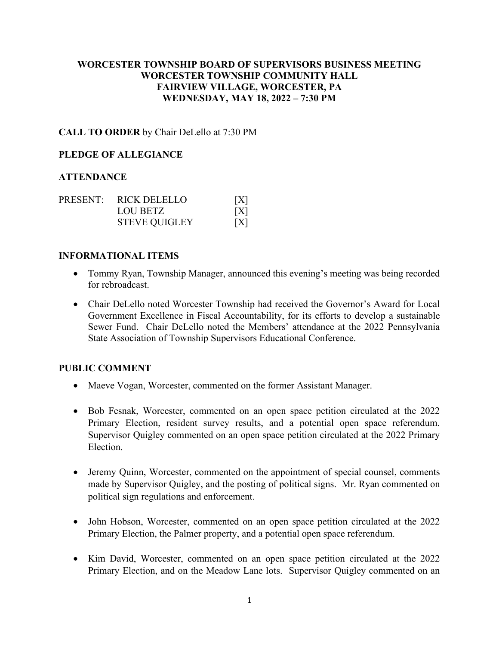# **WORCESTER TOWNSHIP BOARD OF SUPERVISORS BUSINESS MEETING WORCESTER TOWNSHIP COMMUNITY HALL FAIRVIEW VILLAGE, WORCESTER, PA WEDNESDAY, MAY 18, 2022 – 7:30 PM**

## **CALL TO ORDER** by Chair DeLello at 7:30 PM

#### **PLEDGE OF ALLEGIANCE**

#### **ATTENDANCE**

|  | PRESENT: RICK DELELLO | [X] |
|--|-----------------------|-----|
|  | LOU BETZ              | [X] |
|  | <b>STEVE QUIGLEY</b>  | [X] |

#### **INFORMATIONAL ITEMS**

- Tommy Ryan, Township Manager, announced this evening's meeting was being recorded for rebroadcast.
- Chair DeLello noted Worcester Township had received the Governor's Award for Local Government Excellence in Fiscal Accountability, for its efforts to develop a sustainable Sewer Fund. Chair DeLello noted the Members' attendance at the 2022 Pennsylvania State Association of Township Supervisors Educational Conference.

#### **PUBLIC COMMENT**

- Maeve Vogan, Worcester, commented on the former Assistant Manager.
- Bob Fesnak, Worcester, commented on an open space petition circulated at the 2022 Primary Election, resident survey results, and a potential open space referendum. Supervisor Quigley commented on an open space petition circulated at the 2022 Primary Election.
- Jeremy Quinn, Worcester, commented on the appointment of special counsel, comments made by Supervisor Quigley, and the posting of political signs. Mr. Ryan commented on political sign regulations and enforcement.
- John Hobson, Worcester, commented on an open space petition circulated at the 2022 Primary Election, the Palmer property, and a potential open space referendum.
- Kim David, Worcester, commented on an open space petition circulated at the 2022 Primary Election, and on the Meadow Lane lots. Supervisor Quigley commented on an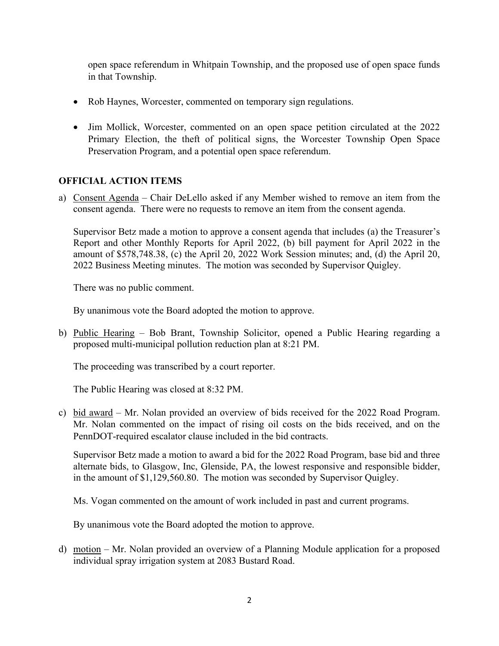open space referendum in Whitpain Township, and the proposed use of open space funds in that Township.

- Rob Haynes, Worcester, commented on temporary sign regulations.
- Jim Mollick, Worcester, commented on an open space petition circulated at the 2022 Primary Election, the theft of political signs, the Worcester Township Open Space Preservation Program, and a potential open space referendum.

# **OFFICIAL ACTION ITEMS**

a) Consent Agenda – Chair DeLello asked if any Member wished to remove an item from the consent agenda. There were no requests to remove an item from the consent agenda.

Supervisor Betz made a motion to approve a consent agenda that includes (a) the Treasurer's Report and other Monthly Reports for April 2022, (b) bill payment for April 2022 in the amount of \$578,748.38, (c) the April 20, 2022 Work Session minutes; and, (d) the April 20, 2022 Business Meeting minutes. The motion was seconded by Supervisor Quigley.

There was no public comment.

By unanimous vote the Board adopted the motion to approve.

b) Public Hearing – Bob Brant, Township Solicitor, opened a Public Hearing regarding a proposed multi-municipal pollution reduction plan at 8:21 PM.

The proceeding was transcribed by a court reporter.

The Public Hearing was closed at 8:32 PM.

c) bid award – Mr. Nolan provided an overview of bids received for the 2022 Road Program. Mr. Nolan commented on the impact of rising oil costs on the bids received, and on the PennDOT-required escalator clause included in the bid contracts.

Supervisor Betz made a motion to award a bid for the 2022 Road Program, base bid and three alternate bids, to Glasgow, Inc, Glenside, PA, the lowest responsive and responsible bidder, in the amount of \$1,129,560.80. The motion was seconded by Supervisor Quigley.

Ms. Vogan commented on the amount of work included in past and current programs.

By unanimous vote the Board adopted the motion to approve.

d) motion – Mr. Nolan provided an overview of a Planning Module application for a proposed individual spray irrigation system at 2083 Bustard Road.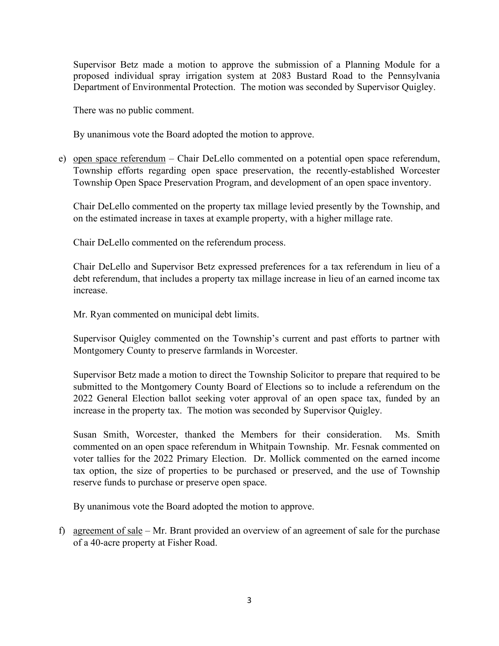Supervisor Betz made a motion to approve the submission of a Planning Module for a proposed individual spray irrigation system at 2083 Bustard Road to the Pennsylvania Department of Environmental Protection. The motion was seconded by Supervisor Quigley.

There was no public comment.

By unanimous vote the Board adopted the motion to approve.

e) open space referendum – Chair DeLello commented on a potential open space referendum, Township efforts regarding open space preservation, the recently-established Worcester Township Open Space Preservation Program, and development of an open space inventory.

Chair DeLello commented on the property tax millage levied presently by the Township, and on the estimated increase in taxes at example property, with a higher millage rate.

Chair DeLello commented on the referendum process.

Chair DeLello and Supervisor Betz expressed preferences for a tax referendum in lieu of a debt referendum, that includes a property tax millage increase in lieu of an earned income tax increase.

Mr. Ryan commented on municipal debt limits.

Supervisor Quigley commented on the Township's current and past efforts to partner with Montgomery County to preserve farmlands in Worcester.

Supervisor Betz made a motion to direct the Township Solicitor to prepare that required to be submitted to the Montgomery County Board of Elections so to include a referendum on the 2022 General Election ballot seeking voter approval of an open space tax, funded by an increase in the property tax. The motion was seconded by Supervisor Quigley.

Susan Smith, Worcester, thanked the Members for their consideration. Ms. Smith commented on an open space referendum in Whitpain Township. Mr. Fesnak commented on voter tallies for the 2022 Primary Election. Dr. Mollick commented on the earned income tax option, the size of properties to be purchased or preserved, and the use of Township reserve funds to purchase or preserve open space.

By unanimous vote the Board adopted the motion to approve.

f) agreement of sale – Mr. Brant provided an overview of an agreement of sale for the purchase of a 40-acre property at Fisher Road.